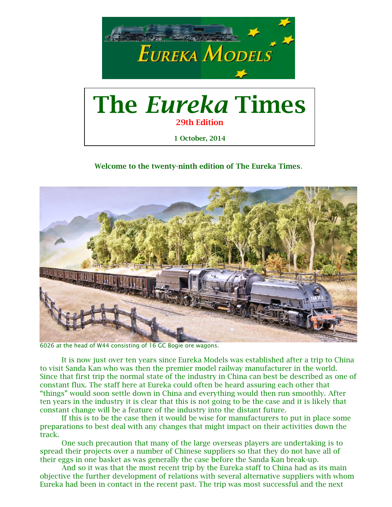

**29th Edition**

**1 October, 2014**

**Welcome to the twenty-ninth edition of The Eureka Times**.



6026 at the head of W44 consisting of 16 GC Bogie ore wagons.

It is now just over ten years since Eureka Models was established after a trip to China to visit Sanda Kan who was then the premier model railway manufacturer in the world. Since that first trip the normal state of the industry in China can best be described as one of constant flux. The staff here at Eureka could often be heard assuring each other that "things" would soon settle down in China and everything would then run smoothly. After ten years in the industry it is clear that this is not going to be the case and it is likely that constant change will be a feature of the industry into the distant future.

If this is to be the case then it would be wise for manufacturers to put in place some preparations to best deal with any changes that might impact on their activities down the track.

One such precaution that many of the large overseas players are undertaking is to spread their projects over a number of Chinese suppliers so that they do not have all of their eggs in one basket as was generally the case before the Sanda Kan break-up.

And so it was that the most recent trip by the Eureka staff to China had as its main objective the further development of relations with several alternative suppliers with whom Eureka had been in contact in the recent past. The trip was most successful and the next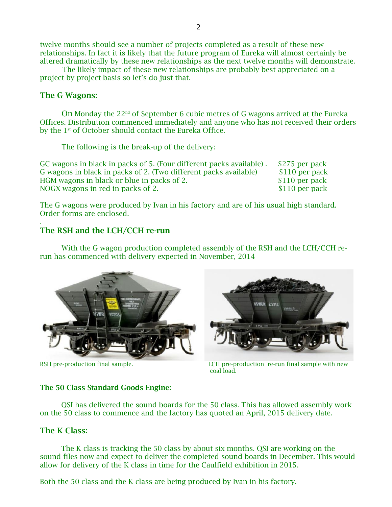twelve months should see a number of projects completed as a result of these new relationships. In fact it is likely that the future program of Eureka will almost certainly be altered dramatically by these new relationships as the next twelve months will demonstrate.

The likely impact of these new relationships are probably best appreciated on a project by project basis so let's do just that.

### **The G Wagons:**

.

On Monday the  $22<sup>nd</sup>$  of September 6 cubic metres of G wagons arrived at the Eureka Offices. Distribution commenced immediately and anyone who has not received their orders by the 1<sup>st</sup> of October should contact the Eureka Office.

The following is the break-up of the delivery:

| GC wagons in black in packs of 5. (Four different packs available). | \$275 per pack |
|---------------------------------------------------------------------|----------------|
| G wagons in black in packs of 2. (Two different packs available)    | \$110 per pack |
| HGM wagons in black or blue in packs of 2.                          | \$110 per pack |
| NOGX wagons in red in packs of 2.                                   | \$110 per pack |

The G wagons were produced by Ivan in his factory and are of his usual high standard. Order forms are enclosed.

# **The RSH and the LCH/CCH re-run**

 With the G wagon production completed assembly of the RSH and the LCH/CCH rerun has commenced with delivery expected in November, 2014





RSH pre-production final sample. The LCH pre-production re-run final sample with new coal load.

## **The 50 Class Standard Goods Engine:**

 QSI has delivered the sound boards for the 50 class. This has allowed assembly work on the 50 class to commence and the factory has quoted an April, 2015 delivery date.

# **The K Class:**

 The K class is tracking the 50 class by about six months. QSI are working on the sound files now and expect to deliver the completed sound boards in December. This would allow for delivery of the K class in time for the Caulfield exhibition in 2015.

Both the 50 class and the K class are being produced by Ivan in his factory.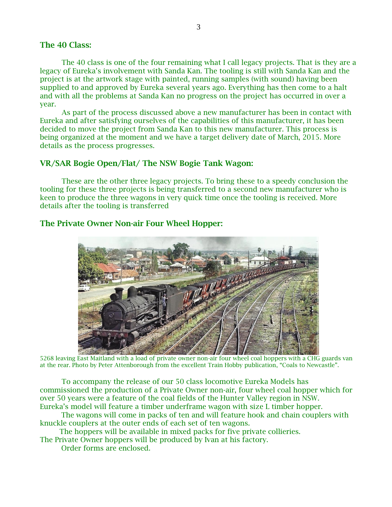### **The 40 Class:**

The 40 class is one of the four remaining what I call legacy projects. That is they are a legacy of Eureka's involvement with Sanda Kan. The tooling is still with Sanda Kan and the project is at the artwork stage with painted, running samples (with sound) having been supplied to and approved by Eureka several years ago. Everything has then come to a halt and with all the problems at Sanda Kan no progress on the project has occurred in over a year.

As part of the process discussed above a new manufacturer has been in contact with Eureka and after satisfying ourselves of the capabilities of this manufacturer, it has been decided to move the project from Sanda Kan to this new manufacturer. This process is being organized at the moment and we have a target delivery date of March, 2015. More details as the process progresses.

## **VR/SAR Bogie Open/Flat/ The NSW Bogie Tank Wagon:**

These are the other three legacy projects. To bring these to a speedy conclusion the tooling for these three projects is being transferred to a second new manufacturer who is keen to produce the three wagons in very quick time once the tooling is received. More details after the tooling is transferred

# **The Private Owner Non-air Four Wheel Hopper:**



5268 leaving East Maitland with a load of private owner non-air four wheel coal hoppers with a CHG guards van at the rear. Photo by Peter Attenborough from the excellent Train Hobby publication, "Coals to Newcastle".

To accompany the release of our 50 class locomotive Eureka Models has commissioned the production of a Private Owner non-air, four wheel coal hopper which for over 50 years were a feature of the coal fields of the Hunter Valley region in NSW. Eureka's model will feature a timber underframe wagon with size L timber hopper.

 The wagons will come in packs of ten and will feature hook and chain couplers with knuckle couplers at the outer ends of each set of ten wagons.

The hoppers will be available in mixed packs for five private collieries.

The Private Owner hoppers will be produced by Ivan at his factory.

Order forms are enclosed.